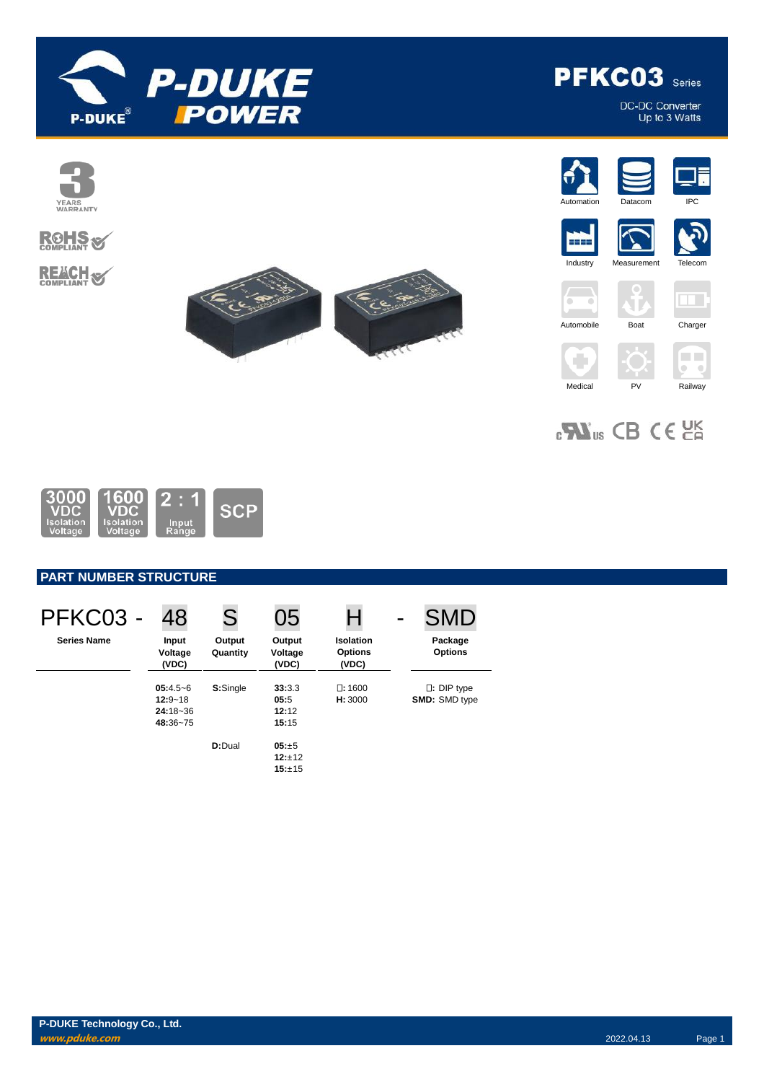

**PFKC03** Series

DC-DC Converter<br>Up to 3 Watts



 $_{c}\mathbf{W}_{us}$  CB CE  $_{c}$ 



# **PART NUMBER STRUCTURE**

| PFKC03 -           | 48                                                    | S                  | 05                               | Н                                           | <b>SMD</b>                                |
|--------------------|-------------------------------------------------------|--------------------|----------------------------------|---------------------------------------------|-------------------------------------------|
| <b>Series Name</b> | Input<br>Voltage<br>(VDC)                             | Output<br>Quantity | Output<br>Voltage<br>(VDC)       | <b>Isolation</b><br><b>Options</b><br>(VDC) | Package<br><b>Options</b>                 |
|                    | $05:4.5-6$<br>$12:9 - 18$<br>$24:18 - 36$<br>48:36~75 | S:Single           | 33:3.3<br>05:5<br>12:12<br>15:15 | $\square: 1600$<br>H: 3000                  | $\Box$ : DIP type<br><b>SMD: SMD type</b> |
|                    |                                                       | D:Dual             | $05: +5$<br>12:±12<br>15:±15     |                                             |                                           |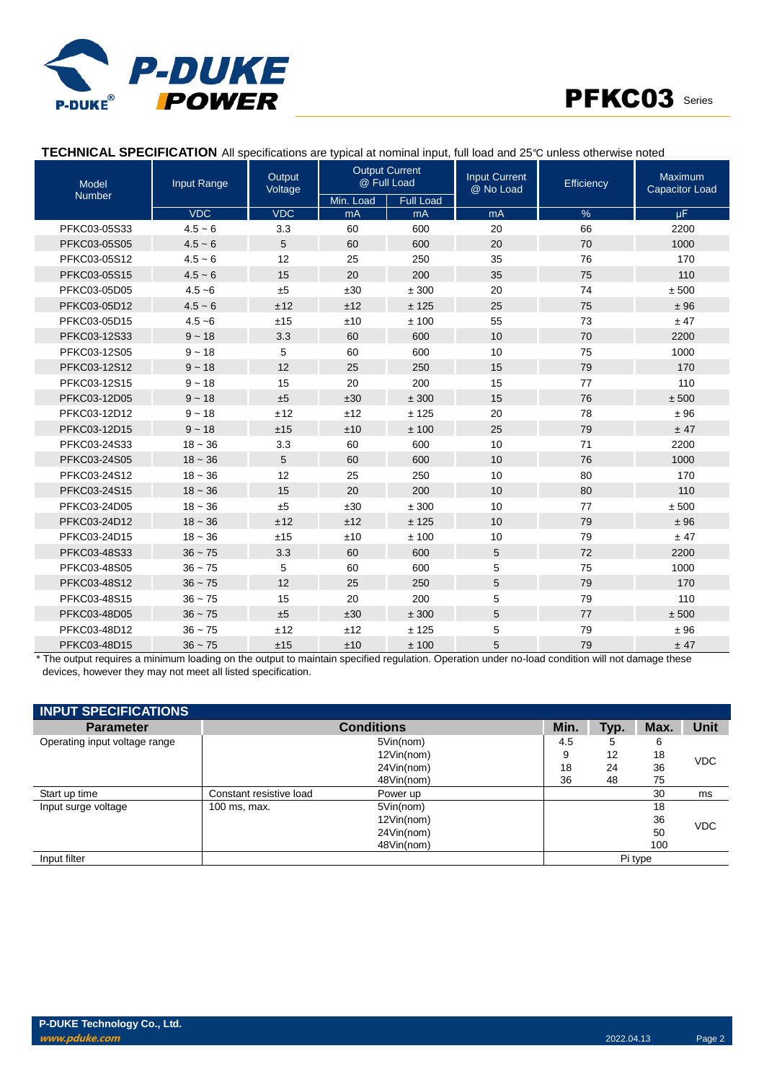



### **TECHNICAL SPECIFICATION** All specifications are typical at nominal input, full load and 25℃ unless otherwise noted

| Input Range<br><b>Model</b> |            | Output<br>Voltage | <b>Output Current</b><br>@ Full Load |                  | <b>Input Current</b><br>@ No Load | Efficiency | Maximum<br><b>Capacitor Load</b> |
|-----------------------------|------------|-------------------|--------------------------------------|------------------|-----------------------------------|------------|----------------------------------|
| <b>Number</b>               |            |                   | Min. Load                            | <b>Full Load</b> |                                   |            |                                  |
|                             | <b>VDC</b> | <b>VDC</b>        | mA                                   | mA               | m <sub>A</sub>                    | %          | uF.                              |
| PFKC03-05S33                | $4.5 - 6$  | 3.3               | 60                                   | 600              | 20                                | 66         | 2200                             |
| PFKC03-05S05                | $4.5 - 6$  | 5                 | 60                                   | 600              | 20                                | 70         | 1000                             |
| PFKC03-05S12                | $4.5 - 6$  | 12                | 25                                   | 250              | 35                                | 76         | 170                              |
| PFKC03-05S15                | $4.5 - 6$  | 15                | 20                                   | 200              | 35                                | 75         | 110                              |
| PFKC03-05D05                | $4.5 - 6$  | ±5                | ±30                                  | ± 300            | 20                                | 74         | ± 500                            |
| PFKC03-05D12                | $4.5 - 6$  | ±12               | ±12                                  | ± 125            | 25                                | 75         | ±96                              |
| PFKC03-05D15                | $4.5 - 6$  | ±15               | ±10                                  | ±100             | 55                                | 73         | ± 47                             |
| PFKC03-12S33                | $9 - 18$   | 3.3               | 60                                   | 600              | 10                                | 70         | 2200                             |
| PFKC03-12S05                | $9 - 18$   | 5                 | 60                                   | 600              | 10                                | 75         | 1000                             |
| PFKC03-12S12                | $9 - 18$   | 12                | 25                                   | 250              | 15                                | 79         | 170                              |
| PFKC03-12S15                | $9 - 18$   | 15                | 20                                   | 200              | 15                                | 77         | 110                              |
| PFKC03-12D05                | $9 - 18$   | ±5                | ±30                                  | ± 300            | 15                                | 76         | ± 500                            |
| PFKC03-12D12                | $9 - 18$   | ±12               | ±12                                  | ± 125            | 20                                | 78         | ±96                              |
| PFKC03-12D15                | $9 - 18$   | ±15               | ±10                                  | ±100             | 25                                | 79         | ± 47                             |
| PFKC03-24S33                | $18 - 36$  | 3.3               | 60                                   | 600              | 10                                | 71         | 2200                             |
| PFKC03-24S05                | $18 - 36$  | 5                 | 60                                   | 600              | 10                                | 76         | 1000                             |
| PFKC03-24S12                | $18 - 36$  | 12                | 25                                   | 250              | 10                                | 80         | 170                              |
| PFKC03-24S15                | $18 - 36$  | 15                | 20                                   | 200              | 10                                | 80         | 110                              |
| PFKC03-24D05                | $18 - 36$  | ±5                | ±30                                  | ± 300            | 10                                | 77         | $\pm\,500$                       |
| PFKC03-24D12                | $18 - 36$  | ±12               | ±12                                  | ± 125            | 10                                | 79         | ±96                              |
| PFKC03-24D15                | $18 - 36$  | ±15               | ±10                                  | ±100             | 10                                | 79         | ± 47                             |
| PFKC03-48S33                | $36 - 75$  | 3.3               | 60                                   | 600              | 5                                 | 72         | 2200                             |
| PFKC03-48S05                | $36 - 75$  | 5                 | 60                                   | 600              | 5                                 | 75         | 1000                             |
| PFKC03-48S12                | $36 - 75$  | 12                | 25                                   | 250              | 5                                 | 79         | 170                              |
| PFKC03-48S15                | $36 - 75$  | 15                | 20                                   | 200              | 5                                 | 79         | 110                              |
| PFKC03-48D05                | $36 - 75$  | ±5                | ±30                                  | ± 300            | 5                                 | 77         | ± 500                            |
| PFKC03-48D12                | $36 - 75$  | ±12               | ±12                                  | ± 125            | 5                                 | 79         | ±96                              |
| PFKC03-48D15                | $36 - 75$  | ±15               | ±10                                  | ±100             | 5                                 | 79         | ± 47                             |

\* The output requires a minimum loading on the output to maintain specified regulation. Operation under no-load condition will not damage these devices, however they may not meet all listed specification.

| <b>INPUT SPECIFICATIONS</b>   |                         |                   |      |      |         |             |
|-------------------------------|-------------------------|-------------------|------|------|---------|-------------|
| <b>Parameter</b>              |                         | <b>Conditions</b> | Min. | Typ. | Max.    | <b>Unit</b> |
| Operating input voltage range |                         | 5Vin(nom)         | 4.5  | 5    | 6       |             |
|                               |                         | 12Vin(nom)        | 9    | 12   | 18      | <b>VDC</b>  |
|                               |                         | 24Vin(nom)        | 18   | 24   | 36      |             |
|                               |                         | 48Vin(nom)        | 36   | 48   | 75      |             |
| Start up time                 | Constant resistive load | Power up          |      |      | 30      | ms          |
| Input surge voltage           | 100 ms, max.            | 5Vin(nom)         |      |      | 18      |             |
|                               |                         | 12Vin(nom)        |      |      | 36      | <b>VDC</b>  |
|                               |                         | 24Vin(nom)        |      |      | 50      |             |
|                               |                         | 48Vin(nom)        |      |      | 100     |             |
| Input filter                  |                         |                   |      |      | Pi type |             |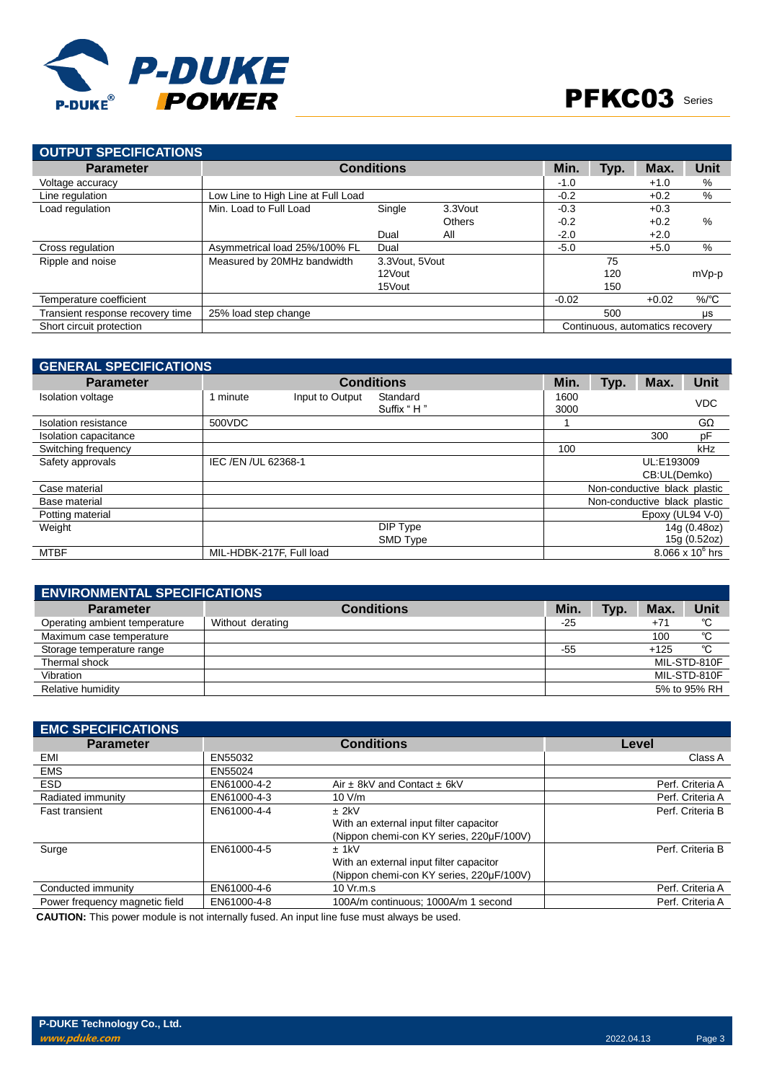

| <b>OUTPUT SPECIFICATIONS</b>     |                                    |                   |               |         |      |         |          |
|----------------------------------|------------------------------------|-------------------|---------------|---------|------|---------|----------|
| <b>Parameter</b>                 |                                    | <b>Conditions</b> |               | Min.    | Typ. | Max.    | Unit     |
| Voltage accuracy                 |                                    |                   |               | $-1.0$  |      | $+1.0$  | %        |
| Line regulation                  | Low Line to High Line at Full Load |                   |               | $-0.2$  |      | $+0.2$  | $\%$     |
| Load regulation                  | Min. Load to Full Load             | Single            | 3.3Vout       | $-0.3$  |      | $+0.3$  |          |
|                                  |                                    |                   | <b>Others</b> | $-0.2$  |      | $+0.2$  | $\%$     |
|                                  |                                    | Dual              | All           | $-2.0$  |      | $+2.0$  |          |
| Cross regulation                 | Asymmetrical load 25%/100% FL      | Dual              |               | $-5.0$  |      | $+5.0$  | %        |
| Ripple and noise                 | Measured by 20MHz bandwidth        | 3.3 Vout, 5 Vout  |               |         | 75   |         |          |
|                                  |                                    | 12Vout            |               |         | 120  |         | mVp-p    |
|                                  |                                    | 15Vout            |               |         | 150  |         |          |
| Temperature coefficient          |                                    |                   |               | $-0.02$ |      | $+0.02$ | $\%$ /°C |
| Transient response recovery time | 25% load step change               |                   |               |         | 500  |         | $\mu s$  |
| Short circuit protection         | Continuous, automatics recovery    |                   |               |         |      |         |          |
|                                  |                                    |                   |               |         |      |         |          |

| <b>GENERAL SPECIFICATIONS</b> |                          |                 |                   |      |                              |                              |                    |  |
|-------------------------------|--------------------------|-----------------|-------------------|------|------------------------------|------------------------------|--------------------|--|
| <b>Parameter</b>              |                          |                 | <b>Conditions</b> | Min. | Typ.                         | Max.                         | <b>Unit</b>        |  |
| <b>Isolation voltage</b>      | 1 minute                 | Input to Output | Standard          | 1600 |                              |                              | <b>VDC</b>         |  |
|                               |                          |                 | Suffix "H"        | 3000 |                              |                              |                    |  |
| Isolation resistance          | 500VDC                   |                 |                   |      |                              |                              | $G\Omega$          |  |
| Isolation capacitance         |                          |                 |                   |      |                              | 300                          | pF                 |  |
| Switching frequency           |                          |                 |                   | 100  |                              |                              | kHz                |  |
| Safety approvals              | IEC /EN /UL 62368-1      |                 |                   |      |                              | UL:E193009                   |                    |  |
|                               |                          |                 |                   |      |                              | CB:UL(Demko)                 |                    |  |
| Case material                 |                          |                 |                   |      |                              | Non-conductive black plastic |                    |  |
| Base material                 |                          |                 |                   |      | Non-conductive black plastic |                              |                    |  |
| Potting material              |                          |                 |                   |      |                              | Epoxy (UL94 V-0)             |                    |  |
| Weight                        |                          |                 | DIP Type          |      |                              |                              | 14g (0.48oz)       |  |
|                               |                          |                 | SMD Type          |      |                              |                              | 15g (0.52oz)       |  |
| <b>MTBF</b>                   | MIL-HDBK-217F, Full load |                 |                   |      |                              |                              | 8.066 x $10^6$ hrs |  |

| <b>ENVIRONMENTAL SPECIFICATIONS</b> |                   |       |      |              |              |  |
|-------------------------------------|-------------------|-------|------|--------------|--------------|--|
| <b>Parameter</b>                    | <b>Conditions</b> | Min.  | Typ. | Max.         | <b>Unit</b>  |  |
| Operating ambient temperature       | Without derating  | $-25$ |      | $+7^{\circ}$ | °C           |  |
| Maximum case temperature            |                   |       |      | 100          | °C           |  |
| Storage temperature range           |                   | -55   |      | $+125$       | °C           |  |
| Thermal shock                       |                   |       |      |              | MIL-STD-810F |  |
| Vibration                           |                   |       |      |              | MIL-STD-810F |  |
| Relative humidity                   |                   |       |      |              | 5% to 95% RH |  |

| <b>EMC SPECIFICATIONS</b>      |             |                                          |                  |
|--------------------------------|-------------|------------------------------------------|------------------|
| <b>Parameter</b>               |             | <b>Conditions</b>                        | Level            |
| EMI                            | EN55032     |                                          | Class A          |
| <b>EMS</b>                     | EN55024     |                                          |                  |
| <b>ESD</b>                     | EN61000-4-2 | Air $\pm$ 8kV and Contact $\pm$ 6kV      | Perf. Criteria A |
| Radiated immunity              | EN61000-4-3 | 10 V/m                                   | Perf. Criteria A |
| <b>Fast transient</b>          | EN61000-4-4 | $±$ 2kV                                  | Perf. Criteria B |
|                                |             | With an external input filter capacitor  |                  |
|                                |             | (Nippon chemi-con KY series, 220µF/100V) |                  |
| Surge                          | EN61000-4-5 | $±$ 1kV                                  | Perf. Criteria B |
|                                |             | With an external input filter capacitor  |                  |
|                                |             | (Nippon chemi-con KY series, 220µF/100V) |                  |
| Conducted immunity             | EN61000-4-6 | 10 Vr.m.s                                | Perf. Criteria A |
| Power frequency magnetic field | EN61000-4-8 | 100A/m continuous: 1000A/m 1 second      | Perf. Criteria A |

**CAUTION:** This power module is not internally fused. An input line fuse must always be used.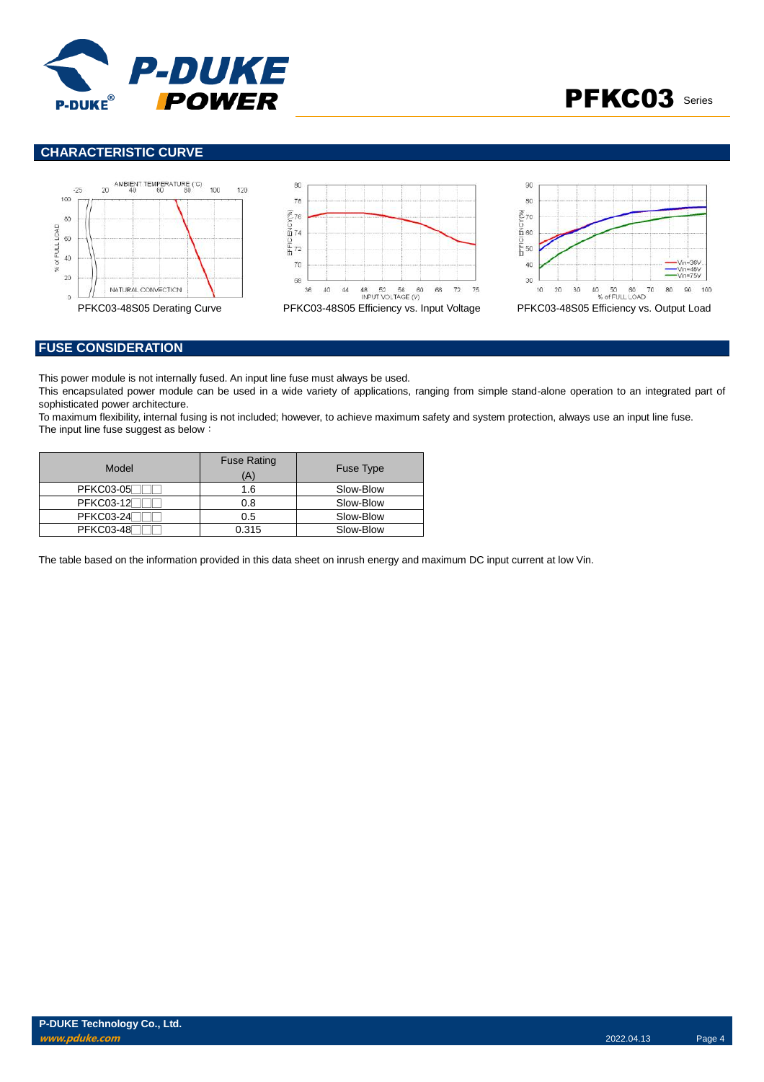



# **CHARACTERISTIC CURVE**



#### **FUSE CONSIDERATION**

This power module is not internally fused. An input line fuse must always be used.

This encapsulated power module can be used in a wide variety of applications, ranging from simple stand-alone operation to an integrated part of sophisticated power architecture.

To maximum flexibility, internal fusing is not included; however, to achieve maximum safety and system protection, always use an input line fuse. The input line fuse suggest as below:

| Model            | <b>Fuse Rating</b><br>Ά | Fuse Type |
|------------------|-------------------------|-----------|
| <b>PFKC03-05</b> | 1.6                     | Slow-Blow |
| <b>PFKC03-12</b> | 0.8                     | Slow-Blow |
| <b>PFKC03-24</b> | 0.5                     | Slow-Blow |
| <b>PFKC03-48</b> | 0.315                   | Slow-Blow |

The table based on the information provided in this data sheet on inrush energy and maximum DC input current at low Vin.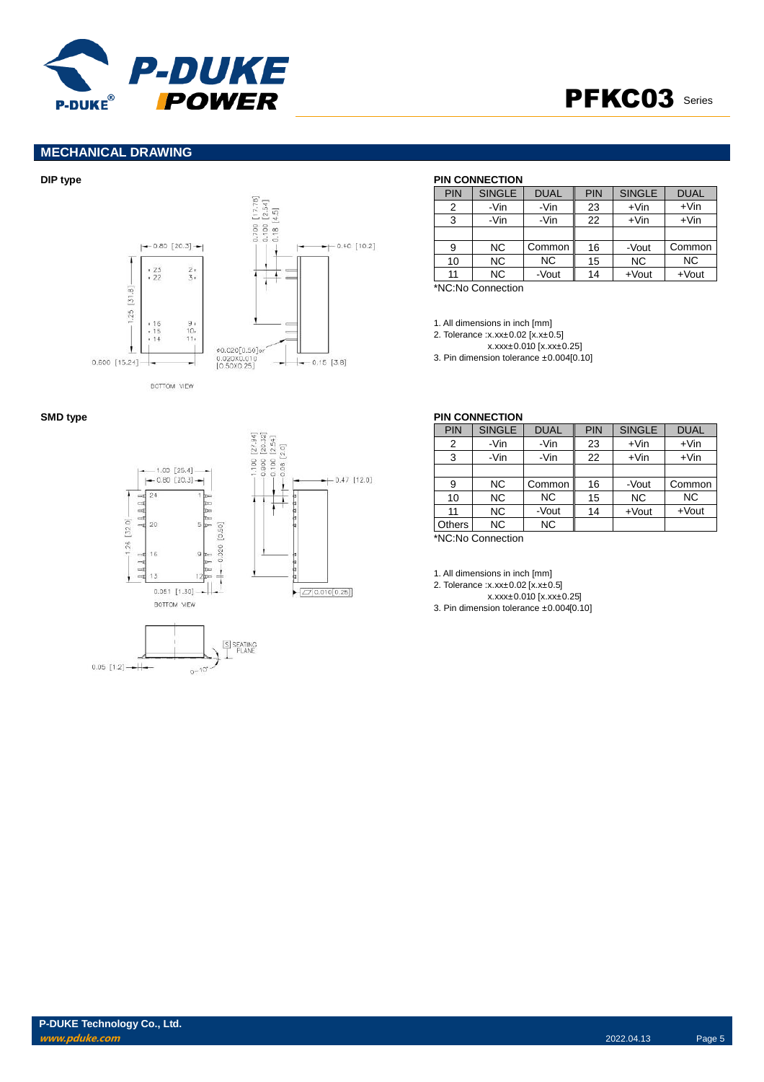

# PFKC03 Series

# **MECHANICAL DRAWING**







### **DIP type PIN CONNECTION**

| <b>PIN</b> | <b>SINGLE</b>  | <b>DUAL</b> | <b>PIN</b> | <b>SINGLE</b> | <b>DUAL</b> |
|------------|----------------|-------------|------------|---------------|-------------|
| 2          | -Vin           | -Vin        | 23         | $+V$ in       | $+V$ in     |
| 3          | -Vin           | -Vin        | 22         | $+V$ in       | $+V$ in     |
|            |                |             |            |               |             |
| 9          | NC.            | Common      | 16         | -Vout         | Common      |
| 10         | N <sub>C</sub> | <b>NC</b>   | 15         | <b>NC</b>     | <b>NC</b>   |
| 11         | <b>NC</b>      | -Vout       | 14         | $+$ Vout      | $+$ Vout    |

\*NC:No Connection

1. All dimensions in inch [mm]

2. Tolerance :x.xx±0.02 [x.x±0.5]

x.xxx±0.010 [x.xx±0.25]

3. Pin dimension tolerance ±0.004[0.10]

|        | PIN CONNECTION |             |     |               |             |
|--------|----------------|-------------|-----|---------------|-------------|
| PIN    | <b>SINGLE</b>  | <b>DUAL</b> | PIN | <b>SINGLE</b> | <b>DUAL</b> |
| 2      | -Vin           | -Vin        | 23  | $+V$ in       | $+V$ in     |
| 3      | -Vin           | -Vin        | 22  | $+V$ in       | $+V$ in     |
|        |                |             |     |               |             |
| 9      | NC.            | Common      | 16  | -Vout         | Common      |
| 10     | N <sub>C</sub> | <b>NC</b>   | 15  | <b>NC</b>     | <b>NC</b>   |
| 11     | NC.            | -Vout       | 14  | $+$ Vout      | $+$ Vout    |
| Others | NC.            | <b>NC</b>   |     |               |             |
|        |                |             |     |               |             |

\*NC:No Connection

1. All dimensions in inch [mm]

2. Tolerance :x.xx±0.02 [x.x±0.5]

x.xxx±0.010 [x.xx±0.25]

3. Pin dimension tolerance ±0.004[0.10]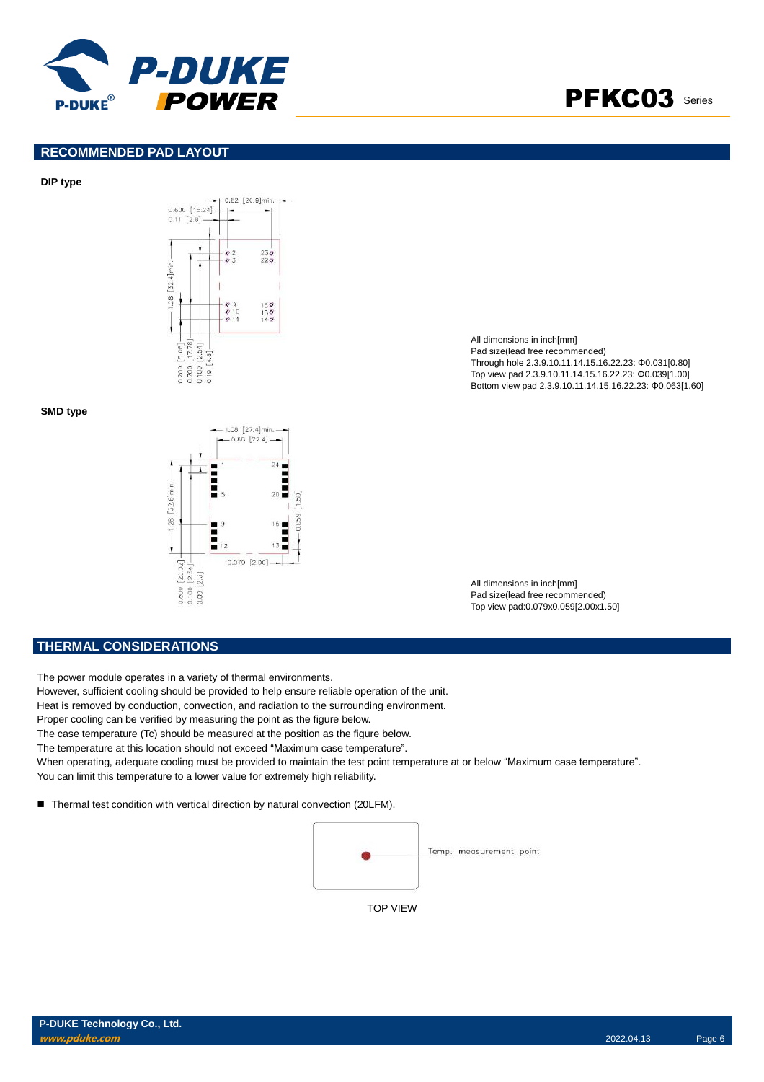

# PFKC03 Series

#### **RECOMMENDED PAD LAYOUT**

#### **DIP type**



#### **SMD type**



All dimensions in inch[mm] Pad size(lead free recommended) Through hole 2.3.9.10.11.14.15.16.22.23: Φ0.031[0.80] Top view pad 2.3.9.10.11.14.15.16.22.23: Φ0.039[1.00] Bottom view pad 2.3.9.10.11.14.15.16.22.23: Φ0.063[1.60]

All dimensions in inch[mm] Pad size(lead free recommended) Top view pad:0.079x0.059[2.00x1.50]

#### **THERMAL CONSIDERATIONS**

The power module operates in a variety of thermal environments.

- However, sufficient cooling should be provided to help ensure reliable operation of the unit.
- Heat is removed by conduction, convection, and radiation to the surrounding environment.
- Proper cooling can be verified by measuring the point as the figure below.

The case temperature (Tc) should be measured at the position as the figure below.

The temperature at this location should not exceed "Maximum case temperature".

When operating, adequate cooling must be provided to maintain the test point temperature at or below "Maximum case temperature". You can limit this temperature to a lower value for extremely high reliability.

■ Thermal test condition with vertical direction by natural convection (20LFM).